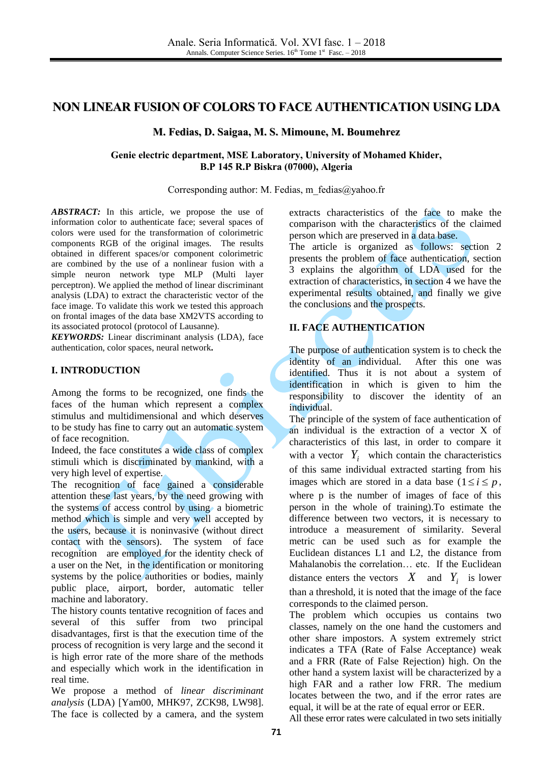# **NON LINEAR FUSION OF COLORS TO FACE AUTHENTICATION USING LDA**

**M. Fedias, D. Saigaa, M. S. Mimoune, M. Boumehrez**

### **Genie electric department, MSE Laboratory, University of Mohamed Khider, B.P 145 R.P Biskra (07000), Algeria**

Corresponding author: M. Fedias, [m\\_fedias@yahoo.fr](mailto:m_fedias@yahoo.fr)

*ABSTRACT:* In this article, we propose the use of information color to authenticate face; several spaces of colors were used for the transformation of colorimetric components RGB of the original images. The results obtained in different spaces/or component colorimetric are combined by the use of a nonlinear fusion with a simple neuron network type MLP (Multi layer perceptron). We applied the method of linear discriminant analysis (LDA) to extract the characteristic vector of the face image. To validate this work we tested this approach on frontal images of the data base XM2VTS according to its associated protocol (protocol of Lausanne).

*KEYWORDS:* Linear discriminant analysis (LDA), face authentication, color spaces, neural network**.**

# **I. INTRODUCTION**

Among the forms to be recognized, one finds the faces of the human which represent a complex stimulus and multidimensional and which deserves to be study has fine to carry out an automatic system of face recognition.

Indeed, the face constitutes a wide class of complex stimuli which is discriminated by mankind, with a very high level of expertise.

The recognition of face gained a considerable attention these last years, by the need growing with the systems of access control by using a biometric method which is simple and very well accepted by the users, because it is noninvasive (without direct contact with the sensors). The system of face recognition are employed for the identity check of a user on the Net, in the identification or monitoring systems by the police authorities or bodies, mainly public place, airport, border, automatic teller machine and laboratory.

The history counts tentative recognition of faces and several of this suffer from two principal disadvantages, first is that the execution time of the process of recognition is very large and the second it is high error rate of the more share of the methods and especially which work in the identification in real time.

We propose a method of *linear discriminant analysis* (LDA) [Yam00, MHK97, ZCK98, LW98]. The face is collected by a camera, and the system

extracts characteristics of the face to make the comparison with the characteristics of the claimed person which are preserved in a data base.

The article is organized as follows: section 2 presents the problem of face authentication, section 3 explains the algorithm of LDA used for the extraction of characteristics, in section 4 we have the experimental results obtained, and finally we give the conclusions and the prospects.

# **II. FACE AUTHENTICATION**

The purpose of authentication system is to check the identity of an individual. After this one was identified. Thus it is not about a system of identification in which is given to him the responsibility to discover the identity of an individual.

The principle of the system of face authentication of an individual is the extraction of a vector X of characteristics of this last, in order to compare it with a vector  $Y_i$  which contain the characteristics of this same individual extracted starting from his images which are stored in a data base  $(1 \le i \le p)$ , where p is the number of images of face of this person in the whole of training).To estimate the difference between two vectors, it is necessary to introduce a measurement of similarity. Several metric can be used such as for example the Euclidean distances L1 and L2, the distance from Mahalanobis the correlation… etc. If the Euclidean distance enters the vectors  $X$  and  $Y_i$  is lower than a threshold, it is noted that the image of the face corresponds to the claimed person.

The problem which occupies us contains two classes, namely on the one hand the customers and other share impostors. A system extremely strict indicates a TFA (Rate of False Acceptance) weak and a FRR (Rate of False Rejection) high. On the other hand a system laxist will be characterized by a high FAR and a rather low FRR. The medium locates between the two, and if the error rates are equal, it will be at the rate of equal error or EER.

All these error rates were calculated in two sets initially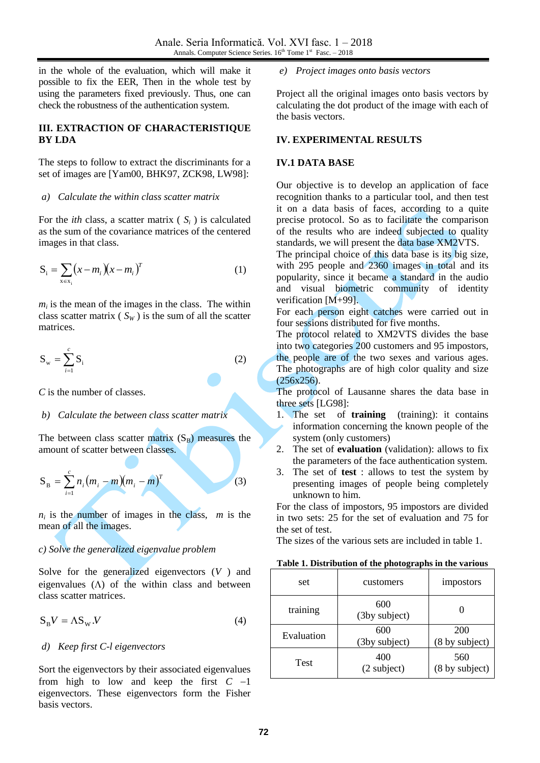in the whole of the evaluation, which will make it possible to fix the EER, Then in the whole test by using the parameters fixed previously. Thus, one can check the robustness of the authentication system.

# **III. EXTRACTION OF CHARACTERISTIQUE BY LDA**

The steps to follow to extract the discriminants for a set of images are [Yam00, BHK97, ZCK98, LW98]:

#### *a) Calculate the within class scatter matrix*

For the *ith* class, a scatter matrix ( $S_i$ ) is calculated as the sum of the covariance matrices of the centered images in that class.

$$
S_i = \sum_{x \in x_i} (x - m_i)(x - m_i)^T
$$
 (1)

 $m_i$  is the mean of the images in the class. The within class scatter matrix ( $S_W$ ) is the sum of all the scatter matrices.

$$
\mathbf{S}_{\mathbf{w}} = \sum_{i=1}^{c} \mathbf{S}_{i} \tag{2}
$$

*C* is the number of classes.

#### *b) Calculate the between class scatter matrix*

The between class scatter matrix  $(S_B)$  measures the amount of scatter between classes.

$$
S_B = \sum_{i=1}^{c} n_i (m_i - m)(m_i - m)^T
$$
 (3)

 $n_i$  is the number of images in the class, *m* is the mean of all the images.

### *c) Solve the generalized eigenvalue problem*

Solve for the generalized eigenvectors (*V* ) and eigenvalues  $(\Lambda)$  of the within class and between class scatter matrices.

$$
S_{B}V = \Lambda S_{W}.V
$$
 (4)

### *d) Keep first C-l eigenvectors*

Sort the eigenvectors by their associated eigenvalues from high to low and keep the first  $C -1$ eigenvectors. These eigenvectors form the Fisher basis vectors.

*e) Project images onto basis vectors*

Project all the original images onto basis vectors by calculating the dot product of the image with each of the basis vectors.

#### **IV. EXPERIMENTAL RESULTS**

#### **IV.1 DATA BASE**

Our objective is to develop an application of face recognition thanks to a particular tool, and then test it on a data basis of faces, according to a quite precise protocol. So as to facilitate the comparison of the results who are indeed subjected to quality standards, we will present the data base XM2VTS.

The principal choice of this data base is its big size, with 295 people and 2360 images in total and its popularity, since it became a standard in the audio and visual biometric community of identity verification [M+99].

For each person eight catches were carried out in four sessions distributed for five months.

The protocol related to XM2VTS divides the base into two categories 200 customers and 95 impostors, the people are of the two sexes and various ages. The photographs are of high color quality and size (256x256).

The protocol of Lausanne shares the data base in three sets [LG98]:

- 1. The set of **training** (training): it contains information concerning the known people of the system (only customers)
- 2. The set of **evaluation** (validation): allows to fix the parameters of the face authentication system.
- 3. The set of **test** : allows to test the system by presenting images of people being completely unknown to him.

For the class of impostors, 95 impostors are divided in two sets: 25 for the set of evaluation and 75 for the set of test.

The sizes of the various sets are included in table 1.

| Table 1. Distribution of the photographs in the various |  |  |
|---------------------------------------------------------|--|--|
|                                                         |  |  |

| set        | customers            | impostors             |  |
|------------|----------------------|-----------------------|--|
| training   | 600<br>(3by subject) |                       |  |
| Evaluation | 600<br>(3by subject) | 200<br>(8 by subject) |  |
| Test       | 400<br>(2 subject)   | 560<br>(8 by subject) |  |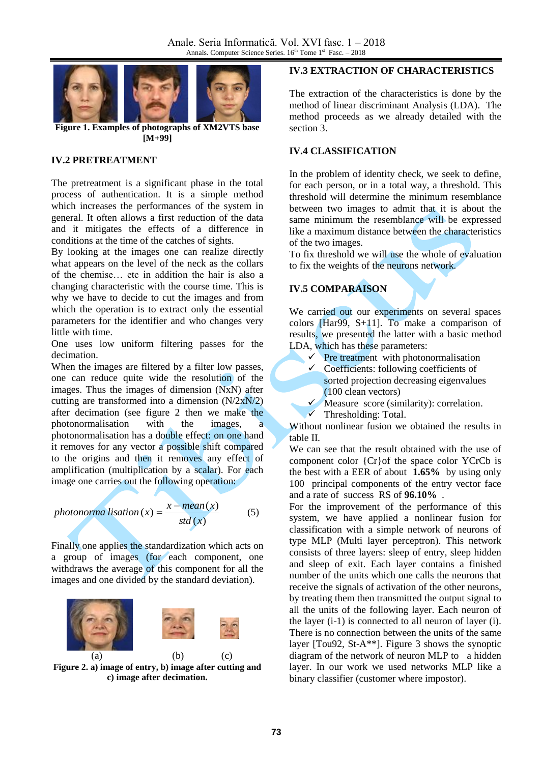

**Figure 1. Examples of photographs of XM2VTS base [M+99]**

### **IV.2 PRETREATMENT**

The pretreatment is a significant phase in the total process of authentication. It is a simple method which increases the performances of the system in general. It often allows a first reduction of the data and it mitigates the effects of a difference in conditions at the time of the catches of sights.

By looking at the images one can realize directly what appears on the level of the neck as the collars of the chemise… etc in addition the hair is also a changing characteristic with the course time. This is why we have to decide to cut the images and from which the operation is to extract only the essential parameters for the identifier and who changes very little with time.

One uses low uniform filtering passes for the decimation.

When the images are filtered by a filter low passes, one can reduce quite wide the resolution of the images. Thus the images of dimension (NxN) after cutting are transformed into a dimension  $(N/2xN/2)$ after decimation (see figure 2 then we make the photonormalisation with the images, a photonormalisation has a double effect: on one hand it removes for any vector a possible shift compared to the origins and then it removes any effect of amplification (multiplication by a scalar). For each image one carries out the following operation:

photonormalisation (x) = 
$$
\frac{x - mean(x)}{std(x)}
$$
 (5)

Finally one applies the standardization which acts on a group of images (for each component, one withdraws the average of this component for all the images and one divided by the standard deviation).



**Figure 2. a) image of entry, b) image after cutting and c) image after decimation.**

### **IV.3 EXTRACTION OF CHARACTERISTICS**

The extraction of the characteristics is done by the method of linear discriminant Analysis (LDA). The method proceeds as we already detailed with the section 3.

#### **IV.4 CLASSIFICATION**

In the problem of identity check, we seek to define, for each person, or in a total way, a threshold. This threshold will determine the minimum resemblance between two images to admit that it is about the same minimum the resemblance will be expressed like a maximum distance between the characteristics of the two images.

To fix threshold we will use the whole of evaluation to fix the weights of the neurons network.

# **IV.5 COMPARAISON**

We carried out our experiments on several spaces colors [Har99, S+11]. To make a comparison of results, we presented the latter with a basic method LDA, which has these parameters:

- $\checkmark$  Pre treatment with photonormalisation
- $\checkmark$  Coefficients: following coefficients of sorted projection decreasing eigenvalues (100 clean vectors)
- $\checkmark$  Measure score (similarity): correlation.
- Thresholding: Total.

Without nonlinear fusion we obtained the results in table II.

We can see that the result obtained with the use of component color {Cr}of the space color YCrCb is the best with a EER of about **1.65%** by using only 100 principal components of the entry vector face and a rate of success RS of **96.10%** .

For the improvement of the performance of this system, we have applied a nonlinear fusion for classification with a simple network of neurons of type MLP (Multi layer perceptron). This network consists of three layers: sleep of entry, sleep hidden and sleep of exit. Each layer contains a finished number of the units which one calls the neurons that receive the signals of activation of the other neurons, by treating them then transmitted the output signal to all the units of the following layer. Each neuron of the layer (i-1) is connected to all neuron of layer (i). There is no connection between the units of the same layer [Tou92, St-A\*\*]. Figure 3 shows the synoptic diagram of the network of neuron MLP to a hidden layer. In our work we used networks MLP like a binary classifier (customer where impostor).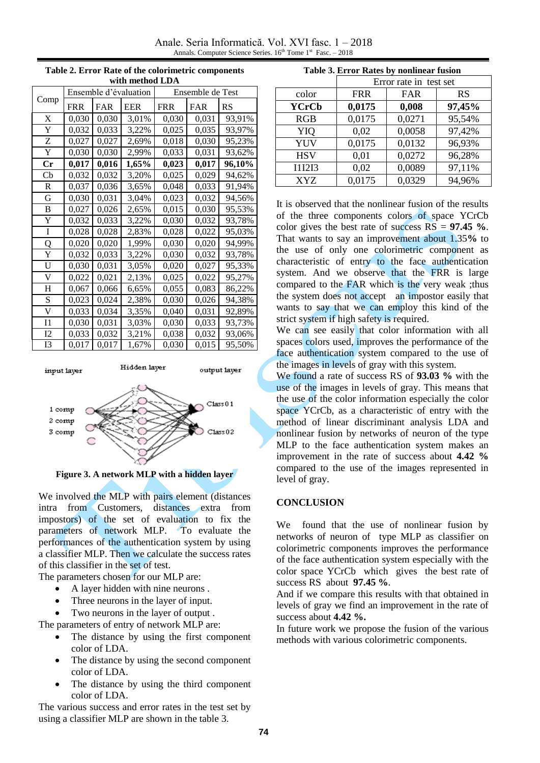Anale. Seria Informatică. Vol. XVI fasc. 1 – 2018 Annals. Computer Science Series. 16<sup>th</sup> Tome 1<sup>st</sup> Fasc. - 2018

| with method LDA |                       |            |            |                  |            |           |  |
|-----------------|-----------------------|------------|------------|------------------|------------|-----------|--|
|                 | Ensemble d'évaluation |            |            | Ensemble de Test |            |           |  |
| Comp            | <b>FRR</b>            | <b>FAR</b> | <b>EER</b> | <b>FRR</b>       | <b>FAR</b> | <b>RS</b> |  |
| X               | 0,030                 | 0,030      | 3,01%      | 0,030            | 0,031      | 93,91%    |  |
| Y               | 0,032                 | 0,033      | 3,22%      | 0,025            | 0,035      | 93,97%    |  |
| Z               | 0,027                 | 0,027      | 2,69%      | 0,018            | 0,030      | 95,23%    |  |
| Y               | 0,030                 | 0,030      | 2,99%      | 0,033            | 0,031      | 93,62%    |  |
| Cr              | 0,017                 | 0,016      | 1,65%      | 0,023            | 0,017      | 96,10%    |  |
| Cb              | 0,032                 | 0,032      | 3,20%      | 0,025            | 0,029      | 94,62%    |  |
| R               | 0,037                 | 0,036      | 3,65%      | 0,048            | 0,033      | 91,94%    |  |
| G               | 0,030                 | 0,031      | 3,04%      | 0,023            | 0,032      | 94,56%    |  |
| B               | 0,027                 | 0,026      | 2,65%      | 0,015            | 0,030      | 95,53%    |  |
| Y               | 0,032                 | 0,033      | 3,22%      | 0,030            | 0,032      | 93,78%    |  |
| Ī               | 0,028                 | 0,028      | 2,83%      | 0,028            | 0,022      | 95,03%    |  |
| Q               | 0,020                 | 0,020      | 1,99%      | 0,030            | 0,020      | 94,99%    |  |
| Y               | 0,032                 | 0,033      | 3,22%      | 0,030            | 0,032      | 93,78%    |  |
| U               | 0,030                 | 0,031      | 3,05%      | 0,020            | 0,027      | 95,33%    |  |
| V               | 0,022                 | 0,021      | 2,13%      | 0,025            | 0,022      | 95,27%    |  |
| Η               | 0,067                 | 0,066      | 6,65%      | 0,055            | 0,083      | 86,22%    |  |
| S               | 0,023                 | 0,024      | 2,38%      | 0,030            | 0,026      | 94,38%    |  |
| V               | 0,033                 | 0,034      | 3,35%      | 0,040            | 0,031      | 92,89%    |  |
| $_{\rm I1}$     | 0,030                 | 0,031      | 3,03%      | 0,030            | 0,033      | 93,73%    |  |
| 12              | 0,033                 | 0,032      | 3,21%      | 0,038            | 0,032      | 93,06%    |  |
| I3              | 0,017                 | 0,017      | 1,67%      | 0,030            | 0,015      | 95,50%    |  |

**Table 2. Error Rate of the colorimetric components** 



**Figure 3. A network MLP with a hidden layer**

We involved the MLP with pairs element (distances intra from Customers, distances extra from impostors) of the set of evaluation to fix the parameters of network MLP. To evaluate the performances of the authentication system by using a classifier MLP. Then we calculate the success rates of this classifier in the set of test.

The parameters chosen for our MLP are:

- A layer hidden with nine neurons .
- Three neurons in the layer of input.
- Two neurons in the layer of output .

The parameters of entry of network MLP are:

- The distance by using the first component color of LDA.
- The distance by using the second component color of LDA.
- The distance by using the third component color of LDA.

The various success and error rates in the test set by using a classifier MLP are shown in the table 3.

|  |  | Table 3. Error Rates by nonlinear fusion |  |
|--|--|------------------------------------------|--|
|  |  |                                          |  |

|               | Error rate in test set |        |        |  |
|---------------|------------------------|--------|--------|--|
| color         | <b>FRR</b>             | FAR    | RS     |  |
| <b>YCrCb</b>  | 0,0175                 | 0,008  | 97,45% |  |
| <b>RGB</b>    | 0,0175                 | 0,0271 | 95,54% |  |
| YIQ           | 0,02                   | 0,0058 | 97,42% |  |
| <b>YUV</b>    | 0,0175                 | 0,0132 | 96,93% |  |
| <b>HSV</b>    | 0,01                   | 0,0272 | 96,28% |  |
| <b>I1I2I3</b> | 0,02                   | 0,0089 | 97,11% |  |
| <b>XYZ</b>    | 0,0175                 | 0.0329 | 94,96% |  |

It is observed that the nonlinear fusion of the results of the three components colors of space YCrCb color gives the best rate of success RS = **97.45 %**. That wants to say an improvement about 1.35**%** to the use of only one colorimetric component as characteristic of entry to the face authentication system. And we observe that the FRR is large compared to the FAR which is the very weak ;thus the system does not accept an impostor easily that wants to say that we can employ this kind of the strict system if high safety is required.

We can see easily that color information with all spaces colors used, improves the performance of the face authentication system compared to the use of the images in levels of gray with this system.

We found a rate of success RS of **93.03 %** with the use of the images in levels of gray. This means that the use of the color information especially the color space YCrCb, as a characteristic of entry with the method of linear discriminant analysis LDA and nonlinear fusion by networks of neuron of the type MLP to the face authentication system makes an improvement in the rate of success about **4.42 %** compared to the use of the images represented in level of gray.

# **CONCLUSION**

We found that the use of nonlinear fusion by networks of neuron of type MLP as classifier on colorimetric components improves the performance of the face authentication system especially with the color space YCrCb which gives the best rate of success RS about **97.45 %**.

And if we compare this results with that obtained in levels of gray we find an improvement in the rate of success about **4.42 %.** 

In future work we propose the fusion of the various methods with various colorimetric components.